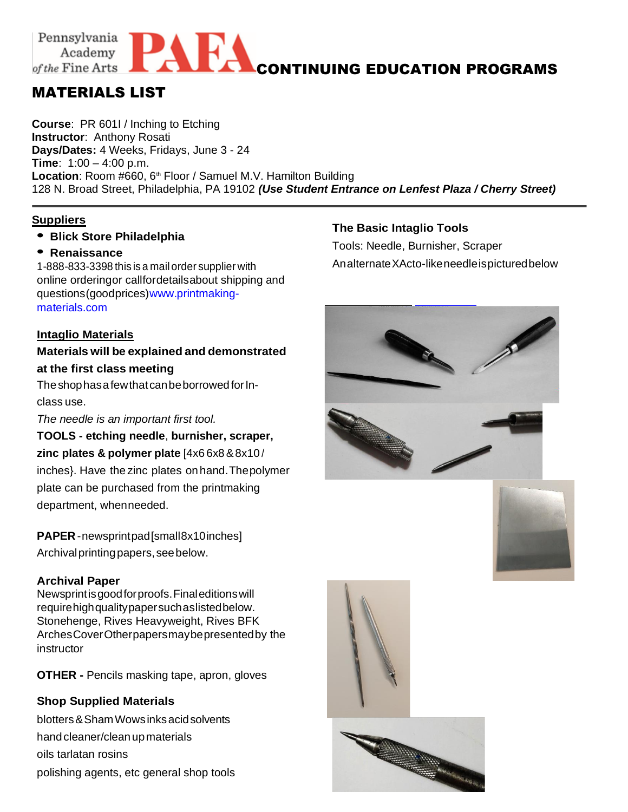#### Pennsylvania AEA **ACONTINUING EDUCATION PROGRAMS** Academy of the Fine Arts

# MATERIALS LIST

**Course**: PR 601I / Inching to Etching **Instructor**: Anthony Rosati **Days/Dates:** 4 Weeks, Fridays, June 3 - 24 **Time**: 1:00 – 4:00 p.m. Location: Room #660, 6<sup>th</sup> Floor / Samuel M.V. Hamilton Building 128 N. Broad Street, Philadelphia, PA 19102 *(Use Student Entrance on Lenfest Plaza / Cherry Street)*

#### **Suppliers**

**• Blick Store Philadelphia**

#### **• Renaissance**

1-888-833-3398 this is a mail order supplier with online orderingor callfordetailsabout shipping and questions(goodprices)www.printmakingmaterials.com

### **Intaglio Materials**

## **Materials will be explained and demonstrated at the first class meeting**

The shop has a few that can be borrowed for Inclass use.

*The needle is an important first tool.*

**TOOLS - etching needle**, **burnisher, scraper, zinc plates & polymer plate** [4x6 6x8&8x10 / inches}. Have the zinc plates on hand.Thepolymer plate can be purchased from the printmaking department, whenneeded.

**PAPER**-newsprintpad[small8x10inches] Archival printing papers, see below.

#### **Archival Paper**

Newsprintisgoodforproofs.Finaleditionswill requirehighqualitypapersuchaslistedbelow. Stonehenge, Rives Heavyweight, Rives BFK ArchesCoverOtherpapersmaybepresentedby the instructor

**OTHER -** Pencils masking tape, apron, gloves

### **Shop Supplied Materials**

blotters&ShamWowsinksacidsolvents hand cleaner/clean up materials oils tarlatan rosins polishing agents, etc general shop tools

### **The Basic Intaglio Tools**

Tools: Needle, Burnisher, Scraper AnalternateXActo-likeneedleispicturedbelow